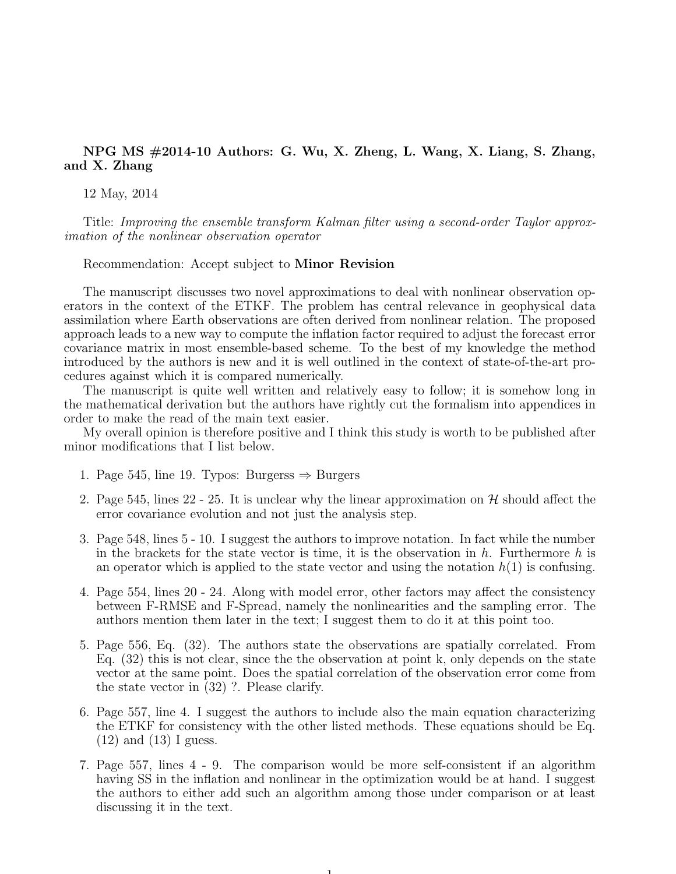## NPG MS #2014-10 Authors: G. Wu, X. Zheng, L. Wang, X. Liang, S. Zhang, and X. Zhang

12 May, 2014

Title: Improving the ensemble transform Kalman filter using a second-order Taylor approximation of the nonlinear observation operator

Recommendation: Accept subject to Minor Revision

The manuscript discusses two novel approximations to deal with nonlinear observation operators in the context of the ETKF. The problem has central relevance in geophysical data assimilation where Earth observations are often derived from nonlinear relation. The proposed approach leads to a new way to compute the inflation factor required to adjust the forecast error covariance matrix in most ensemble-based scheme. To the best of my knowledge the method introduced by the authors is new and it is well outlined in the context of state-of-the-art procedures against which it is compared numerically.

The manuscript is quite well written and relatively easy to follow; it is somehow long in the mathematical derivation but the authors have rightly cut the formalism into appendices in order to make the read of the main text easier.

My overall opinion is therefore positive and I think this study is worth to be published after minor modifications that I list below.

- 1. Page 545, line 19. Typos: Burgerss ⇒ Burgers
- 2. Page 545, lines 22 25. It is unclear why the linear approximation on  $\mathcal{H}$  should affect the error covariance evolution and not just the analysis step.
- 3. Page 548, lines 5 10. I suggest the authors to improve notation. In fact while the number in the brackets for the state vector is time, it is the observation in h. Furthermore h is an operator which is applied to the state vector and using the notation  $h(1)$  is confusing.
- 4. Page 554, lines 20 24. Along with model error, other factors may affect the consistency between F-RMSE and F-Spread, namely the nonlinearities and the sampling error. The authors mention them later in the text; I suggest them to do it at this point too.
- 5. Page 556, Eq. (32). The authors state the observations are spatially correlated. From Eq. (32) this is not clear, since the the observation at point k, only depends on the state vector at the same point. Does the spatial correlation of the observation error come from the state vector in (32) ?. Please clarify.
- 6. Page 557, line 4. I suggest the authors to include also the main equation characterizing the ETKF for consistency with the other listed methods. These equations should be Eq. (12) and (13) I guess.
- 7. Page 557, lines 4 9. The comparison would be more self-consistent if an algorithm having SS in the inflation and nonlinear in the optimization would be at hand. I suggest the authors to either add such an algorithm among those under comparison or at least discussing it in the text.

1